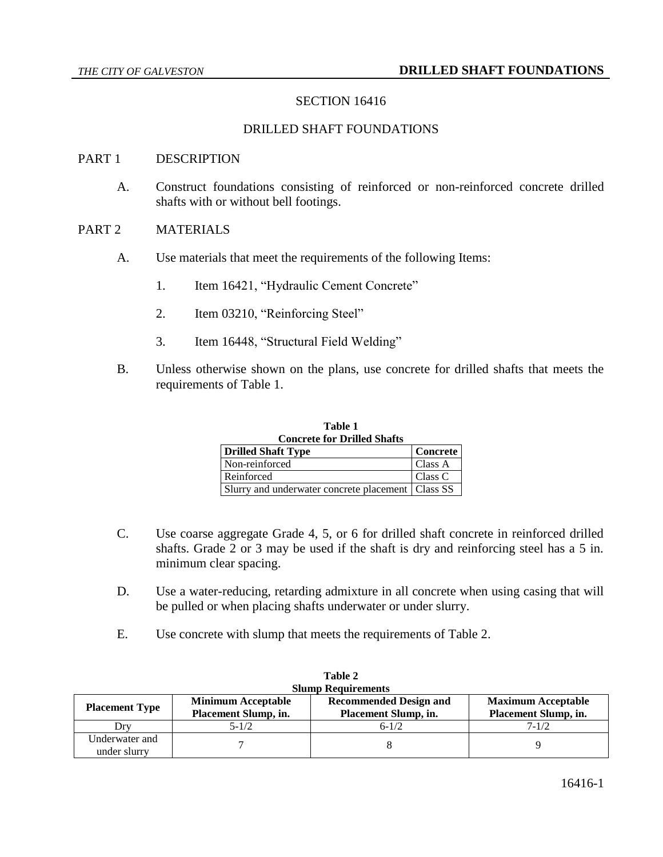### SECTION 16416

### DRILLED SHAFT FOUNDATIONS

#### PART 1 DESCRIPTION

A. Construct foundations consisting of reinforced or non-reinforced concrete drilled shafts with or without bell footings.

#### PART 2 MATERIALS

- A. Use materials that meet the requirements of the following Items:
	- 1. Item 16421, "Hydraulic Cement Concrete"
	- 2. Item 03210, "Reinforcing Steel"
	- 3. Item 16448, "Structural Field Welding"
- B. Unless otherwise shown on the plans, use concrete for drilled shafts that meets the requirements of Table 1.

| <b>Concrete for Drilled Shafts</b>                  |                 |  |  |
|-----------------------------------------------------|-----------------|--|--|
| <b>Drilled Shaft Type</b>                           | <b>Concrete</b> |  |  |
| Non-reinforced                                      | Class A         |  |  |
| Reinforced                                          | Class C         |  |  |
| Slurry and underwater concrete placement   Class SS |                 |  |  |

**Table 1**

- C. Use coarse aggregate Grade 4, 5, or 6 for drilled shaft concrete in reinforced drilled shafts. Grade 2 or 3 may be used if the shaft is dry and reinforcing steel has a 5 in. minimum clear spacing.
- D. Use a water-reducing, retarding admixture in all concrete when using casing that will be pulled or when placing shafts underwater or under slurry.
- E. Use concrete with slump that meets the requirements of Table 2.

| <b>Slump Requirements</b>      |                                                   |                                                       |                                                   |  |  |
|--------------------------------|---------------------------------------------------|-------------------------------------------------------|---------------------------------------------------|--|--|
| <b>Placement Type</b>          | <b>Minimum Acceptable</b><br>Placement Slump, in. | <b>Recommended Design and</b><br>Placement Slump, in. | <b>Maximum Acceptable</b><br>Placement Slump, in. |  |  |
| Drv                            | $5 - 1/2$                                         | $6 - 1/2$                                             | $7 - 1/2$                                         |  |  |
| Underwater and<br>under slurry |                                                   |                                                       |                                                   |  |  |

| Table 2         |
|-----------------|
| lumn Daquinaman |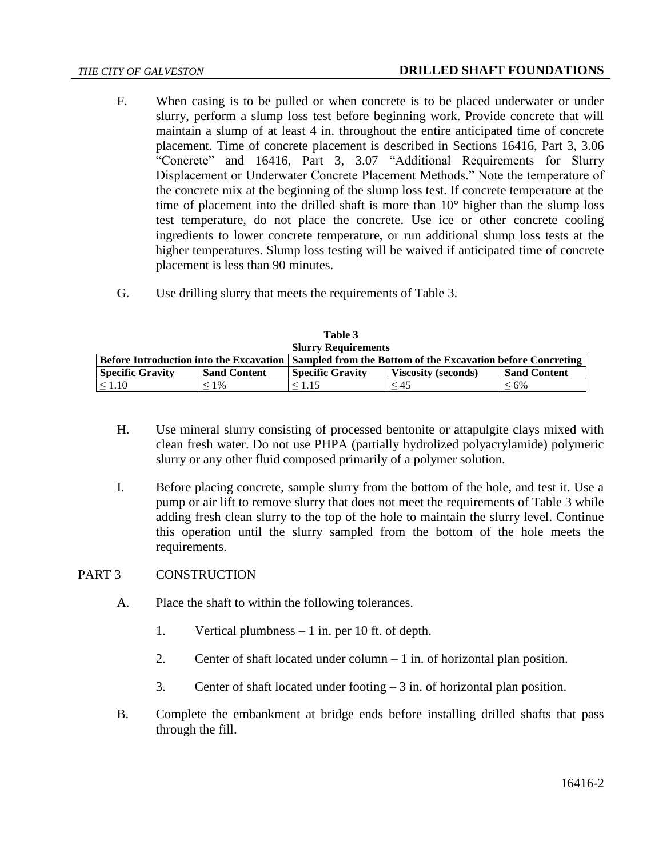- F. When casing is to be pulled or when concrete is to be placed underwater or under slurry, perform a slump loss test before beginning work. Provide concrete that will maintain a slump of at least 4 in. throughout the entire anticipated time of concrete placement. Time of concrete placement is described in Sections 16416, Part 3, 3.06 "Concrete" and 16416, Part 3, 3.07 "Additional Requirements for Slurry Displacement or Underwater Concrete Placement Methods." Note the temperature of the concrete mix at the beginning of the slump loss test. If concrete temperature at the time of placement into the drilled shaft is more than 10° higher than the slump loss test temperature, do not place the concrete. Use ice or other concrete cooling ingredients to lower concrete temperature, or run additional slump loss tests at the higher temperatures. Slump loss testing will be waived if anticipated time of concrete placement is less than 90 minutes.
- G. Use drilling slurry that meets the requirements of Table 3.

| <b>Slurry Requirements</b>                     |                     |                                                             |                            |                     |  |
|------------------------------------------------|---------------------|-------------------------------------------------------------|----------------------------|---------------------|--|
| <b>Before Introduction into the Excavation</b> |                     | Sampled from the Bottom of the Excavation before Concreting |                            |                     |  |
| <b>Specific Gravity</b>                        | <b>Sand Content</b> | <b>Specific Gravity</b>                                     | <b>Viscosity (seconds)</b> | <b>Sand Content</b> |  |
| $\leq 1.10$                                    | $1\%$               | $\leq 1.15$                                                 | < 45                       | $\leq 6\%$          |  |

| Table 3           |
|-------------------|
| lurry Requiremen! |

- H. Use mineral slurry consisting of processed bentonite or attapulgite clays mixed with clean fresh water. Do not use PHPA (partially hydrolized polyacrylamide) polymeric slurry or any other fluid composed primarily of a polymer solution.
- I. Before placing concrete, sample slurry from the bottom of the hole, and test it. Use a pump or air lift to remove slurry that does not meet the requirements of Table 3 while adding fresh clean slurry to the top of the hole to maintain the slurry level. Continue this operation until the slurry sampled from the bottom of the hole meets the requirements.

# PART 3 CONSTRUCTION

- A. Place the shaft to within the following tolerances.
	- 1. Vertical plumbness 1 in. per 10 ft. of depth.
	- 2. Center of shaft located under column 1 in. of horizontal plan position.
	- 3. Center of shaft located under footing  $-3$  in. of horizontal plan position.
- B. Complete the embankment at bridge ends before installing drilled shafts that pass through the fill.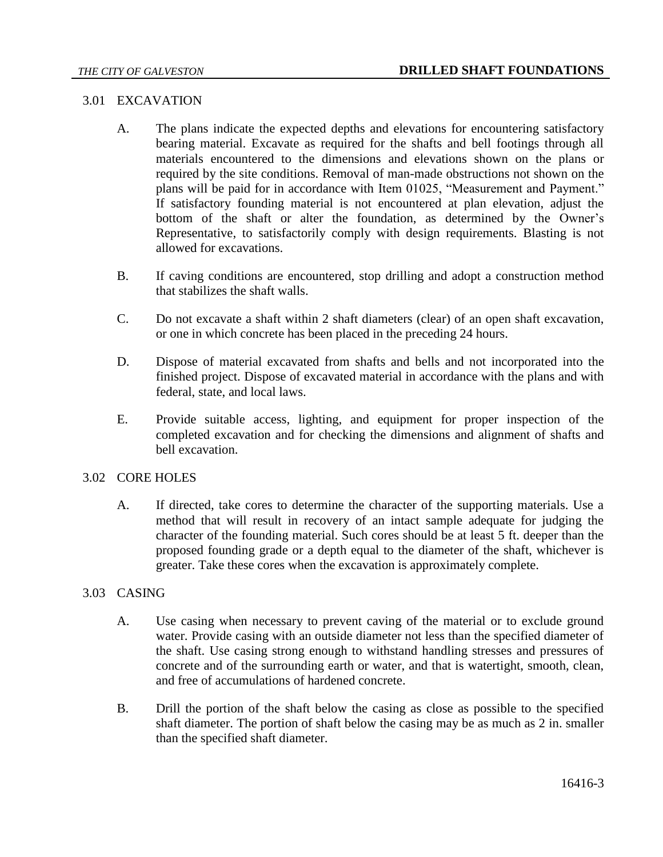#### 3.01 EXCAVATION

- A. The plans indicate the expected depths and elevations for encountering satisfactory bearing material. Excavate as required for the shafts and bell footings through all materials encountered to the dimensions and elevations shown on the plans or required by the site conditions. Removal of man-made obstructions not shown on the plans will be paid for in accordance with Item 01025, "Measurement and Payment." If satisfactory founding material is not encountered at plan elevation, adjust the bottom of the shaft or alter the foundation, as determined by the Owner's Representative, to satisfactorily comply with design requirements. Blasting is not allowed for excavations.
- B. If caving conditions are encountered, stop drilling and adopt a construction method that stabilizes the shaft walls.
- C. Do not excavate a shaft within 2 shaft diameters (clear) of an open shaft excavation, or one in which concrete has been placed in the preceding 24 hours.
- D. Dispose of material excavated from shafts and bells and not incorporated into the finished project. Dispose of excavated material in accordance with the plans and with federal, state, and local laws.
- E. Provide suitable access, lighting, and equipment for proper inspection of the completed excavation and for checking the dimensions and alignment of shafts and bell excavation.

### 3.02 CORE HOLES

A. If directed, take cores to determine the character of the supporting materials. Use a method that will result in recovery of an intact sample adequate for judging the character of the founding material. Such cores should be at least 5 ft. deeper than the proposed founding grade or a depth equal to the diameter of the shaft, whichever is greater. Take these cores when the excavation is approximately complete.

#### 3.03 CASING

- A. Use casing when necessary to prevent caving of the material or to exclude ground water. Provide casing with an outside diameter not less than the specified diameter of the shaft. Use casing strong enough to withstand handling stresses and pressures of concrete and of the surrounding earth or water, and that is watertight, smooth, clean, and free of accumulations of hardened concrete.
- B. Drill the portion of the shaft below the casing as close as possible to the specified shaft diameter. The portion of shaft below the casing may be as much as 2 in. smaller than the specified shaft diameter.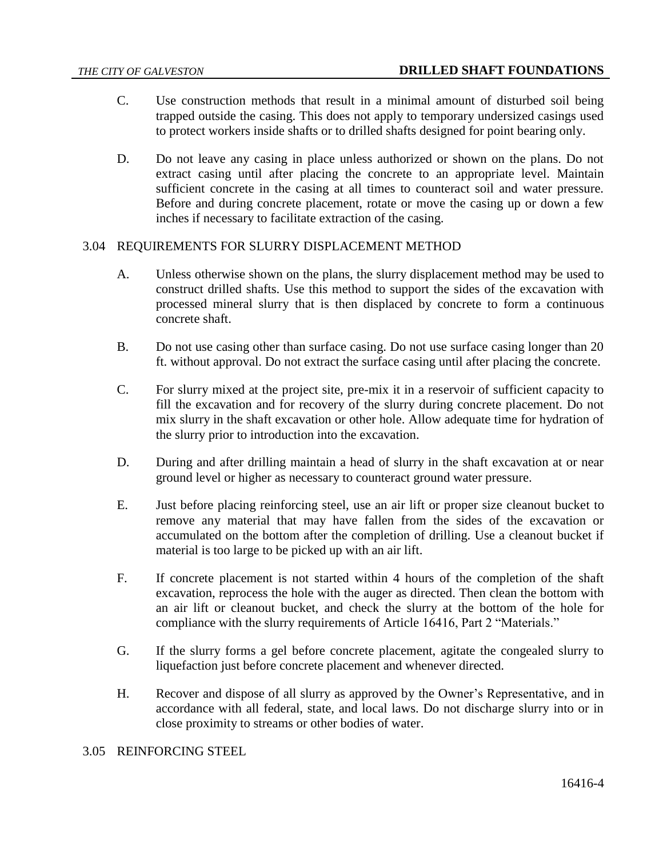- C. Use construction methods that result in a minimal amount of disturbed soil being trapped outside the casing. This does not apply to temporary undersized casings used to protect workers inside shafts or to drilled shafts designed for point bearing only.
- D. Do not leave any casing in place unless authorized or shown on the plans. Do not extract casing until after placing the concrete to an appropriate level. Maintain sufficient concrete in the casing at all times to counteract soil and water pressure. Before and during concrete placement, rotate or move the casing up or down a few inches if necessary to facilitate extraction of the casing.

### 3.04 REQUIREMENTS FOR SLURRY DISPLACEMENT METHOD

- A. Unless otherwise shown on the plans, the slurry displacement method may be used to construct drilled shafts. Use this method to support the sides of the excavation with processed mineral slurry that is then displaced by concrete to form a continuous concrete shaft.
- B. Do not use casing other than surface casing. Do not use surface casing longer than 20 ft. without approval. Do not extract the surface casing until after placing the concrete.
- C. For slurry mixed at the project site, pre-mix it in a reservoir of sufficient capacity to fill the excavation and for recovery of the slurry during concrete placement. Do not mix slurry in the shaft excavation or other hole. Allow adequate time for hydration of the slurry prior to introduction into the excavation.
- D. During and after drilling maintain a head of slurry in the shaft excavation at or near ground level or higher as necessary to counteract ground water pressure.
- E. Just before placing reinforcing steel, use an air lift or proper size cleanout bucket to remove any material that may have fallen from the sides of the excavation or accumulated on the bottom after the completion of drilling. Use a cleanout bucket if material is too large to be picked up with an air lift.
- F. If concrete placement is not started within 4 hours of the completion of the shaft excavation, reprocess the hole with the auger as directed. Then clean the bottom with an air lift or cleanout bucket, and check the slurry at the bottom of the hole for compliance with the slurry requirements of Article 16416, Part 2 "Materials."
- G. If the slurry forms a gel before concrete placement, agitate the congealed slurry to liquefaction just before concrete placement and whenever directed.
- H. Recover and dispose of all slurry as approved by the Owner's Representative, and in accordance with all federal, state, and local laws. Do not discharge slurry into or in close proximity to streams or other bodies of water.

#### 3.05 REINFORCING STEEL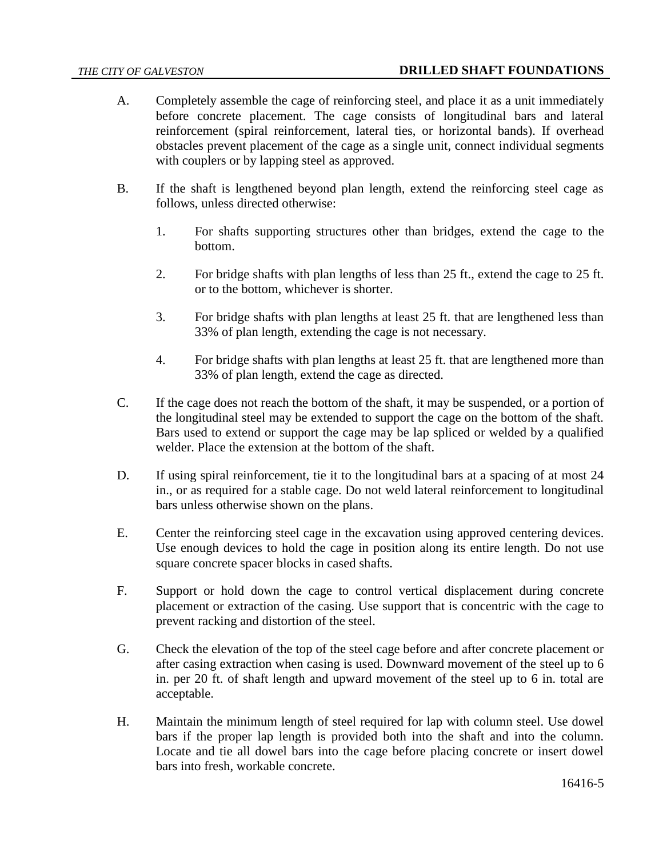- A. Completely assemble the cage of reinforcing steel, and place it as a unit immediately before concrete placement. The cage consists of longitudinal bars and lateral reinforcement (spiral reinforcement, lateral ties, or horizontal bands). If overhead obstacles prevent placement of the cage as a single unit, connect individual segments with couplers or by lapping steel as approved.
- B. If the shaft is lengthened beyond plan length, extend the reinforcing steel cage as follows, unless directed otherwise:
	- 1. For shafts supporting structures other than bridges, extend the cage to the bottom.
	- 2. For bridge shafts with plan lengths of less than 25 ft., extend the cage to 25 ft. or to the bottom, whichever is shorter.
	- 3. For bridge shafts with plan lengths at least 25 ft. that are lengthened less than 33% of plan length, extending the cage is not necessary.
	- 4. For bridge shafts with plan lengths at least 25 ft. that are lengthened more than 33% of plan length, extend the cage as directed.
- C. If the cage does not reach the bottom of the shaft, it may be suspended, or a portion of the longitudinal steel may be extended to support the cage on the bottom of the shaft. Bars used to extend or support the cage may be lap spliced or welded by a qualified welder. Place the extension at the bottom of the shaft.
- D. If using spiral reinforcement, tie it to the longitudinal bars at a spacing of at most 24 in., or as required for a stable cage. Do not weld lateral reinforcement to longitudinal bars unless otherwise shown on the plans.
- E. Center the reinforcing steel cage in the excavation using approved centering devices. Use enough devices to hold the cage in position along its entire length. Do not use square concrete spacer blocks in cased shafts.
- F. Support or hold down the cage to control vertical displacement during concrete placement or extraction of the casing. Use support that is concentric with the cage to prevent racking and distortion of the steel.
- G. Check the elevation of the top of the steel cage before and after concrete placement or after casing extraction when casing is used. Downward movement of the steel up to 6 in. per 20 ft. of shaft length and upward movement of the steel up to 6 in. total are acceptable.
- H. Maintain the minimum length of steel required for lap with column steel. Use dowel bars if the proper lap length is provided both into the shaft and into the column. Locate and tie all dowel bars into the cage before placing concrete or insert dowel bars into fresh, workable concrete.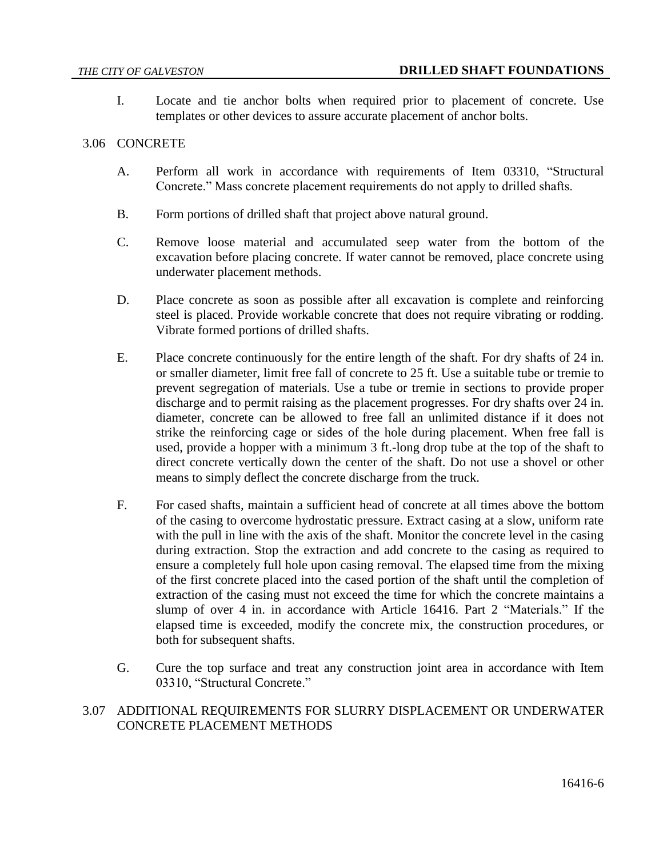I. Locate and tie anchor bolts when required prior to placement of concrete. Use templates or other devices to assure accurate placement of anchor bolts.

#### 3.06 CONCRETE

- A. Perform all work in accordance with requirements of Item 03310, "Structural Concrete." Mass concrete placement requirements do not apply to drilled shafts.
- B. Form portions of drilled shaft that project above natural ground.
- C. Remove loose material and accumulated seep water from the bottom of the excavation before placing concrete. If water cannot be removed, place concrete using underwater placement methods.
- D. Place concrete as soon as possible after all excavation is complete and reinforcing steel is placed. Provide workable concrete that does not require vibrating or rodding. Vibrate formed portions of drilled shafts.
- E. Place concrete continuously for the entire length of the shaft. For dry shafts of 24 in. or smaller diameter, limit free fall of concrete to 25 ft. Use a suitable tube or tremie to prevent segregation of materials. Use a tube or tremie in sections to provide proper discharge and to permit raising as the placement progresses. For dry shafts over 24 in. diameter, concrete can be allowed to free fall an unlimited distance if it does not strike the reinforcing cage or sides of the hole during placement. When free fall is used, provide a hopper with a minimum 3 ft.-long drop tube at the top of the shaft to direct concrete vertically down the center of the shaft. Do not use a shovel or other means to simply deflect the concrete discharge from the truck.
- F. For cased shafts, maintain a sufficient head of concrete at all times above the bottom of the casing to overcome hydrostatic pressure. Extract casing at a slow, uniform rate with the pull in line with the axis of the shaft. Monitor the concrete level in the casing during extraction. Stop the extraction and add concrete to the casing as required to ensure a completely full hole upon casing removal. The elapsed time from the mixing of the first concrete placed into the cased portion of the shaft until the completion of extraction of the casing must not exceed the time for which the concrete maintains a slump of over 4 in. in accordance with Article 16416. Part 2 "Materials." If the elapsed time is exceeded, modify the concrete mix, the construction procedures, or both for subsequent shafts.
- G. Cure the top surface and treat any construction joint area in accordance with Item 03310, "Structural Concrete."

# 3.07 ADDITIONAL REQUIREMENTS FOR SLURRY DISPLACEMENT OR UNDERWATER CONCRETE PLACEMENT METHODS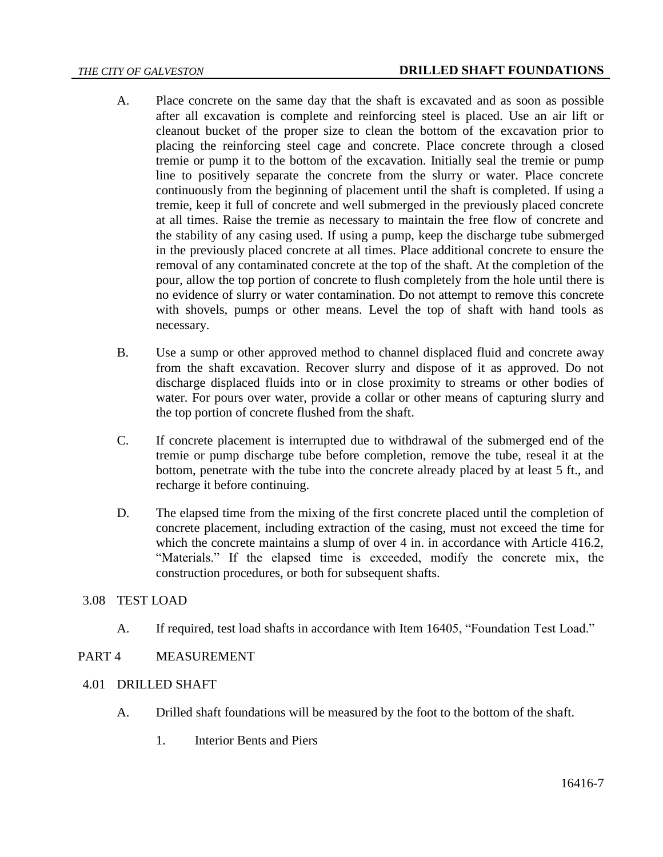- A. Place concrete on the same day that the shaft is excavated and as soon as possible after all excavation is complete and reinforcing steel is placed. Use an air lift or cleanout bucket of the proper size to clean the bottom of the excavation prior to placing the reinforcing steel cage and concrete. Place concrete through a closed tremie or pump it to the bottom of the excavation. Initially seal the tremie or pump line to positively separate the concrete from the slurry or water. Place concrete continuously from the beginning of placement until the shaft is completed. If using a tremie, keep it full of concrete and well submerged in the previously placed concrete at all times. Raise the tremie as necessary to maintain the free flow of concrete and the stability of any casing used. If using a pump, keep the discharge tube submerged in the previously placed concrete at all times. Place additional concrete to ensure the removal of any contaminated concrete at the top of the shaft. At the completion of the pour, allow the top portion of concrete to flush completely from the hole until there is no evidence of slurry or water contamination. Do not attempt to remove this concrete with shovels, pumps or other means. Level the top of shaft with hand tools as necessary.
- B. Use a sump or other approved method to channel displaced fluid and concrete away from the shaft excavation. Recover slurry and dispose of it as approved. Do not discharge displaced fluids into or in close proximity to streams or other bodies of water. For pours over water, provide a collar or other means of capturing slurry and the top portion of concrete flushed from the shaft.
- C. If concrete placement is interrupted due to withdrawal of the submerged end of the tremie or pump discharge tube before completion, remove the tube, reseal it at the bottom, penetrate with the tube into the concrete already placed by at least 5 ft., and recharge it before continuing.
- D. The elapsed time from the mixing of the first concrete placed until the completion of concrete placement, including extraction of the casing, must not exceed the time for which the concrete maintains a slump of over 4 in. in accordance with Article 416.2, "Materials." If the elapsed time is exceeded, modify the concrete mix, the construction procedures, or both for subsequent shafts.

# 3.08 TEST LOAD

A. If required, test load shafts in accordance with Item 16405, "Foundation Test Load."

# PART 4 MEASUREMENT

- 4.01 DRILLED SHAFT
	- A. Drilled shaft foundations will be measured by the foot to the bottom of the shaft.
		- 1. Interior Bents and Piers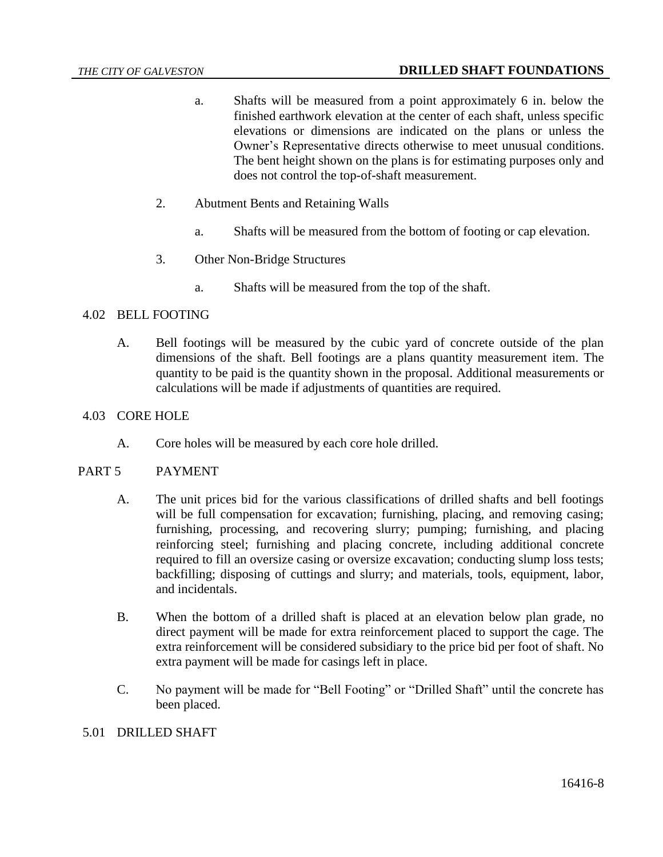- a. Shafts will be measured from a point approximately 6 in. below the finished earthwork elevation at the center of each shaft, unless specific elevations or dimensions are indicated on the plans or unless the Owner's Representative directs otherwise to meet unusual conditions. The bent height shown on the plans is for estimating purposes only and does not control the top-of-shaft measurement.
- 2. Abutment Bents and Retaining Walls
	- a. Shafts will be measured from the bottom of footing or cap elevation.
- 3. Other Non-Bridge Structures
	- a. Shafts will be measured from the top of the shaft.

## 4.02 BELL FOOTING

A. Bell footings will be measured by the cubic yard of concrete outside of the plan dimensions of the shaft. Bell footings are a plans quantity measurement item. The quantity to be paid is the quantity shown in the proposal. Additional measurements or calculations will be made if adjustments of quantities are required.

## 4.03 CORE HOLE

A. Core holes will be measured by each core hole drilled.

### PART 5 PAYMENT

- A. The unit prices bid for the various classifications of drilled shafts and bell footings will be full compensation for excavation; furnishing, placing, and removing casing; furnishing, processing, and recovering slurry; pumping; furnishing, and placing reinforcing steel; furnishing and placing concrete, including additional concrete required to fill an oversize casing or oversize excavation; conducting slump loss tests; backfilling; disposing of cuttings and slurry; and materials, tools, equipment, labor, and incidentals.
- B. When the bottom of a drilled shaft is placed at an elevation below plan grade, no direct payment will be made for extra reinforcement placed to support the cage. The extra reinforcement will be considered subsidiary to the price bid per foot of shaft. No extra payment will be made for casings left in place.
- C. No payment will be made for "Bell Footing" or "Drilled Shaft" until the concrete has been placed.

### 5.01 DRILLED SHAFT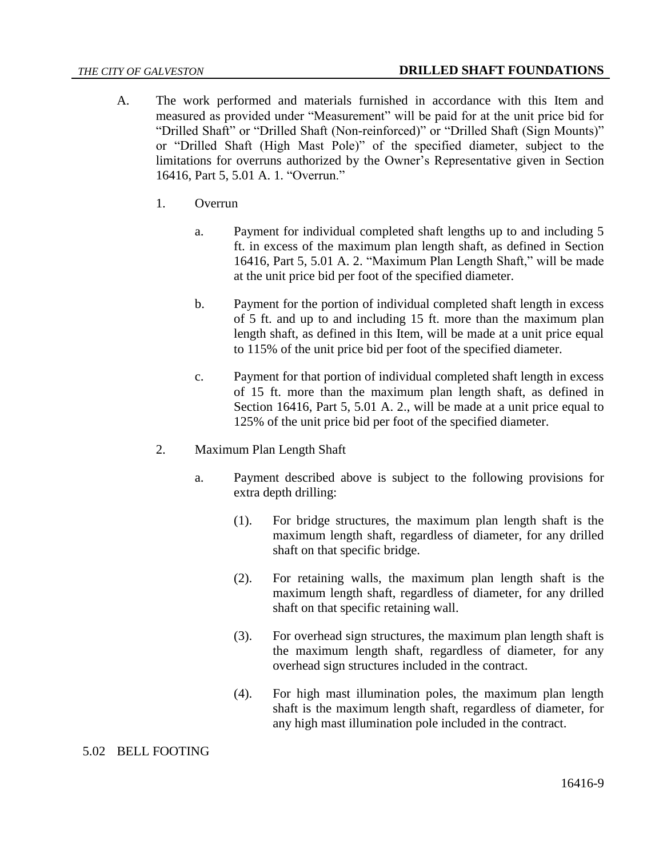- A. The work performed and materials furnished in accordance with this Item and measured as provided under "Measurement" will be paid for at the unit price bid for "Drilled Shaft" or "Drilled Shaft (Non-reinforced)" or "Drilled Shaft (Sign Mounts)" or "Drilled Shaft (High Mast Pole)" of the specified diameter, subject to the limitations for overruns authorized by the Owner's Representative given in Section 16416, Part 5, 5.01 A. 1. "Overrun."
	- 1. Overrun
		- a. Payment for individual completed shaft lengths up to and including 5 ft. in excess of the maximum plan length shaft, as defined in Section 16416, Part 5, 5.01 A. 2. "Maximum Plan Length Shaft," will be made at the unit price bid per foot of the specified diameter.
		- b. Payment for the portion of individual completed shaft length in excess of 5 ft. and up to and including 15 ft. more than the maximum plan length shaft, as defined in this Item, will be made at a unit price equal to 115% of the unit price bid per foot of the specified diameter.
		- c. Payment for that portion of individual completed shaft length in excess of 15 ft. more than the maximum plan length shaft, as defined in Section 16416, Part 5, 5.01 A. 2., will be made at a unit price equal to 125% of the unit price bid per foot of the specified diameter.
	- 2. Maximum Plan Length Shaft
		- a. Payment described above is subject to the following provisions for extra depth drilling:
			- (1). For bridge structures, the maximum plan length shaft is the maximum length shaft, regardless of diameter, for any drilled shaft on that specific bridge.
			- (2). For retaining walls, the maximum plan length shaft is the maximum length shaft, regardless of diameter, for any drilled shaft on that specific retaining wall.
			- (3). For overhead sign structures, the maximum plan length shaft is the maximum length shaft, regardless of diameter, for any overhead sign structures included in the contract.
			- (4). For high mast illumination poles, the maximum plan length shaft is the maximum length shaft, regardless of diameter, for any high mast illumination pole included in the contract.

# 5.02 BELL FOOTING